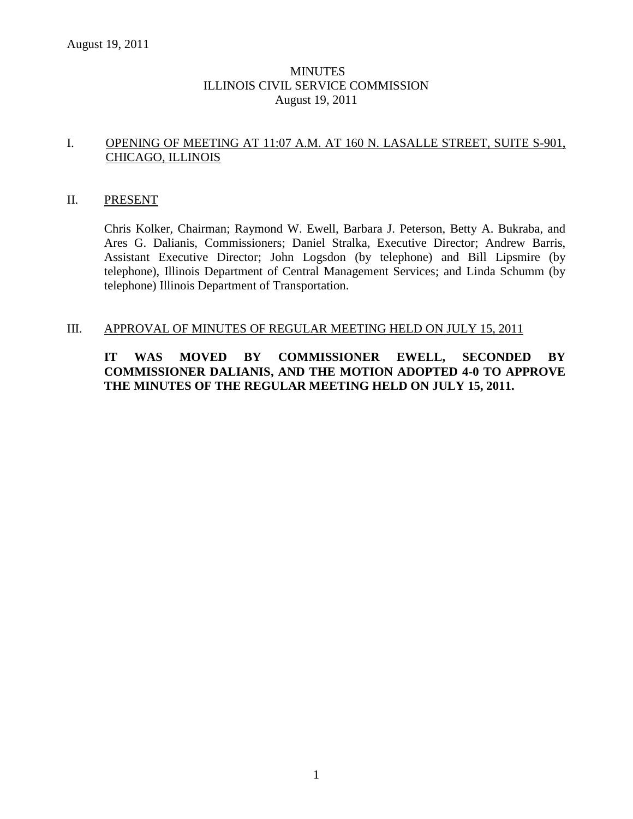## MINUTES ILLINOIS CIVIL SERVICE COMMISSION August 19, 2011

## I. OPENING OF MEETING AT 11:07 A.M. AT 160 N. LASALLE STREET, SUITE S-901, CHICAGO, ILLINOIS

### II. PRESENT

Chris Kolker, Chairman; Raymond W. Ewell, Barbara J. Peterson, Betty A. Bukraba, and Ares G. Dalianis, Commissioners; Daniel Stralka, Executive Director; Andrew Barris, Assistant Executive Director; John Logsdon (by telephone) and Bill Lipsmire (by telephone), Illinois Department of Central Management Services; and Linda Schumm (by telephone) Illinois Department of Transportation.

### III. APPROVAL OF MINUTES OF REGULAR MEETING HELD ON JULY 15, 2011

# **IT WAS MOVED BY COMMISSIONER EWELL, SECONDED BY COMMISSIONER DALIANIS, AND THE MOTION ADOPTED 4-0 TO APPROVE THE MINUTES OF THE REGULAR MEETING HELD ON JULY 15, 2011.**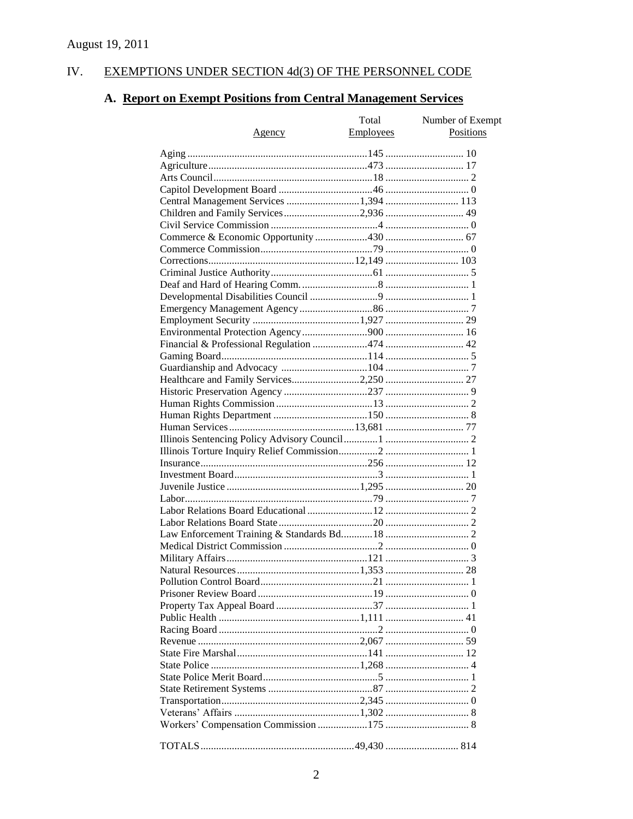#### IV. EXEMPTIONS UNDER SECTION 4d(3) OF THE PERSONNEL CODE

# A. Report on Exempt Positions from Central Management Services

|                                        | Total            | Number of Exempt |
|----------------------------------------|------------------|------------------|
| Agency                                 | <b>Employees</b> | Positions        |
|                                        |                  |                  |
|                                        |                  |                  |
|                                        |                  |                  |
|                                        |                  |                  |
|                                        |                  |                  |
| Central Management Services 1,394  113 |                  |                  |
| Children and Family Services2,936 49   |                  |                  |
|                                        |                  |                  |
|                                        |                  |                  |
|                                        |                  |                  |
|                                        |                  |                  |
|                                        |                  |                  |
|                                        |                  |                  |
|                                        |                  |                  |
|                                        |                  |                  |
|                                        |                  |                  |
|                                        |                  |                  |
|                                        |                  |                  |
|                                        |                  |                  |
|                                        |                  |                  |
|                                        |                  |                  |
|                                        |                  |                  |
|                                        |                  |                  |
|                                        |                  |                  |
|                                        |                  |                  |
|                                        |                  |                  |
|                                        |                  |                  |
|                                        |                  |                  |
|                                        |                  |                  |
|                                        |                  |                  |
|                                        |                  |                  |
|                                        |                  |                  |
|                                        |                  |                  |
|                                        |                  |                  |
|                                        |                  |                  |
|                                        |                  |                  |
|                                        |                  |                  |
|                                        |                  |                  |
|                                        |                  |                  |
|                                        |                  |                  |
|                                        |                  |                  |
|                                        |                  |                  |
|                                        |                  |                  |
|                                        |                  |                  |
|                                        |                  |                  |
|                                        |                  |                  |
|                                        |                  |                  |
|                                        |                  |                  |
|                                        |                  |                  |
|                                        |                  |                  |
|                                        |                  |                  |
|                                        |                  |                  |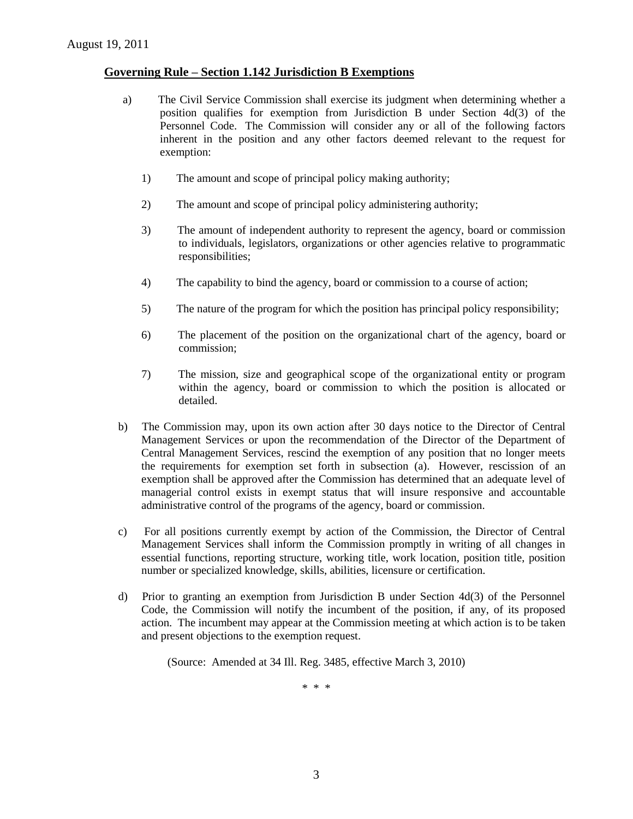## **Governing Rule – Section 1.142 Jurisdiction B Exemptions**

- a) The Civil Service Commission shall exercise its judgment when determining whether a position qualifies for exemption from Jurisdiction B under Section 4d(3) of the Personnel Code. The Commission will consider any or all of the following factors inherent in the position and any other factors deemed relevant to the request for exemption:
	- 1) The amount and scope of principal policy making authority;
	- 2) The amount and scope of principal policy administering authority;
	- 3) The amount of independent authority to represent the agency, board or commission to individuals, legislators, organizations or other agencies relative to programmatic responsibilities;
	- 4) The capability to bind the agency, board or commission to a course of action;
	- 5) The nature of the program for which the position has principal policy responsibility;
	- 6) The placement of the position on the organizational chart of the agency, board or commission;
	- 7) The mission, size and geographical scope of the organizational entity or program within the agency, board or commission to which the position is allocated or detailed.
- b) The Commission may, upon its own action after 30 days notice to the Director of Central Management Services or upon the recommendation of the Director of the Department of Central Management Services, rescind the exemption of any position that no longer meets the requirements for exemption set forth in subsection (a). However, rescission of an exemption shall be approved after the Commission has determined that an adequate level of managerial control exists in exempt status that will insure responsive and accountable administrative control of the programs of the agency, board or commission.
- c) For all positions currently exempt by action of the Commission, the Director of Central Management Services shall inform the Commission promptly in writing of all changes in essential functions, reporting structure, working title, work location, position title, position number or specialized knowledge, skills, abilities, licensure or certification.
- d) Prior to granting an exemption from Jurisdiction B under Section 4d(3) of the Personnel Code, the Commission will notify the incumbent of the position, if any, of its proposed action. The incumbent may appear at the Commission meeting at which action is to be taken and present objections to the exemption request.

(Source: Amended at 34 Ill. Reg. 3485, effective March 3, 2010)

\* \* \*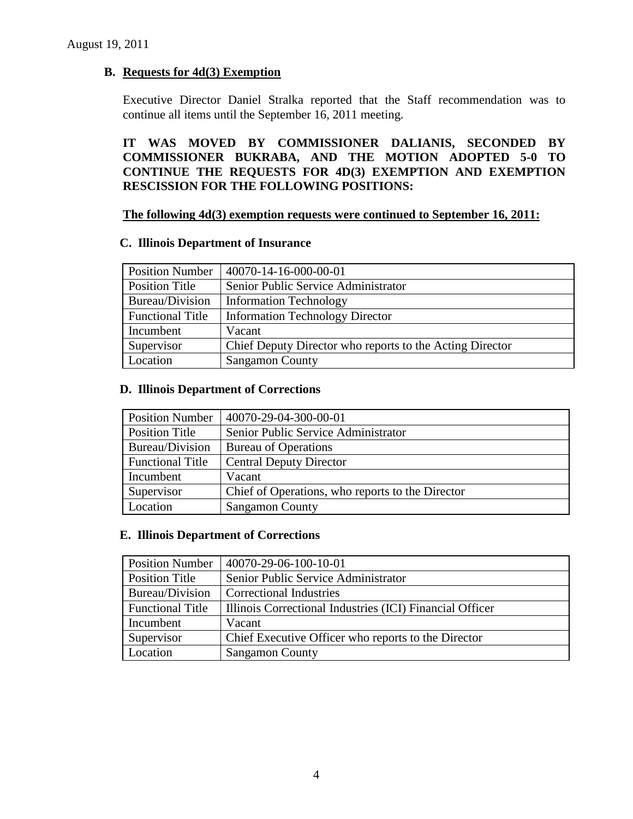# **B. Requests for 4d(3) Exemption**

Executive Director Daniel Stralka reported that the Staff recommendation was to continue all items until the September 16, 2011 meeting.

**IT WAS MOVED BY COMMISSIONER DALIANIS, SECONDED BY COMMISSIONER BUKRABA, AND THE MOTION ADOPTED 5-0 TO CONTINUE THE REQUESTS FOR 4D(3) EXEMPTION AND EXEMPTION RESCISSION FOR THE FOLLOWING POSITIONS:**

### **The following 4d(3) exemption requests were continued to September 16, 2011:**

#### **C. Illinois Department of Insurance**

| <b>Position Number</b>  | 40070-14-16-000-00-01                                    |
|-------------------------|----------------------------------------------------------|
| Position Title          | Senior Public Service Administrator                      |
| Bureau/Division         | <b>Information Technology</b>                            |
| <b>Functional Title</b> | <b>Information Technology Director</b>                   |
| Incumbent               | Vacant                                                   |
| Supervisor              | Chief Deputy Director who reports to the Acting Director |
| Location                | <b>Sangamon County</b>                                   |

## **D. Illinois Department of Corrections**

| <b>Position Number</b>  | 40070-29-04-300-00-01                            |  |
|-------------------------|--------------------------------------------------|--|
| Position Title          | Senior Public Service Administrator              |  |
| Bureau/Division         | <b>Bureau of Operations</b>                      |  |
| <b>Functional Title</b> | <b>Central Deputy Director</b>                   |  |
| Incumbent               | Vacant                                           |  |
| Supervisor              | Chief of Operations, who reports to the Director |  |
| Location                | <b>Sangamon County</b>                           |  |

### **E. Illinois Department of Corrections**

| <b>Position Number</b>  | 40070-29-06-100-10-01                                    |
|-------------------------|----------------------------------------------------------|
| <b>Position Title</b>   | Senior Public Service Administrator                      |
| Bureau/Division         | <b>Correctional Industries</b>                           |
| <b>Functional Title</b> | Illinois Correctional Industries (ICI) Financial Officer |
| Incumbent               | Vacant                                                   |
| Supervisor              | Chief Executive Officer who reports to the Director      |
| Location                | <b>Sangamon County</b>                                   |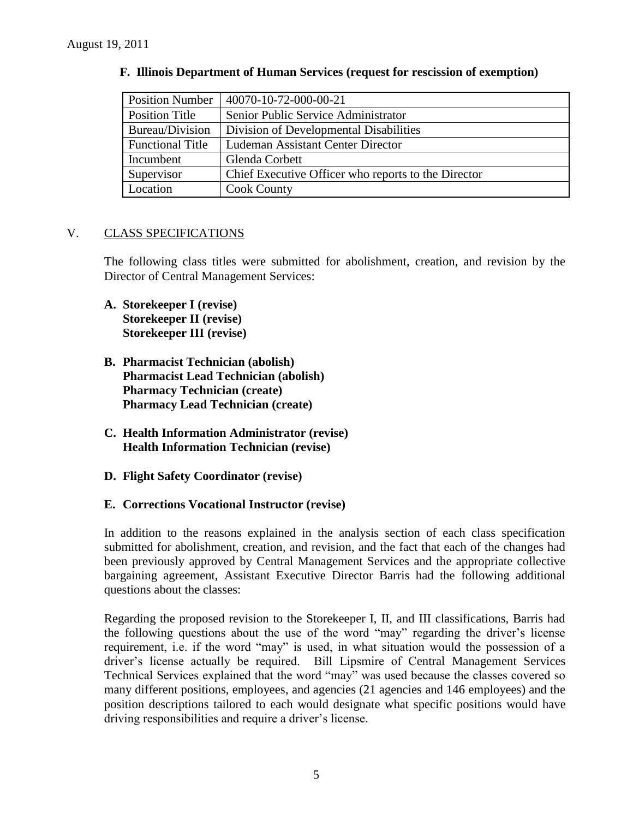| <b>Position Number</b>  | 40070-10-72-000-00-21                               |
|-------------------------|-----------------------------------------------------|
| Position Title          | Senior Public Service Administrator                 |
| Bureau/Division         | Division of Developmental Disabilities              |
| <b>Functional Title</b> | <b>Ludeman Assistant Center Director</b>            |
| Incumbent               | Glenda Corbett                                      |
| Supervisor              | Chief Executive Officer who reports to the Director |
| Location                | <b>Cook County</b>                                  |

## **F. Illinois Department of Human Services (request for rescission of exemption)**

# V. CLASS SPECIFICATIONS

The following class titles were submitted for abolishment, creation, and revision by the Director of Central Management Services:

- **A. Storekeeper I (revise) Storekeeper II (revise) Storekeeper III (revise)**
- **B. Pharmacist Technician (abolish) Pharmacist Lead Technician (abolish) Pharmacy Technician (create) Pharmacy Lead Technician (create)**
- **C. Health Information Administrator (revise) Health Information Technician (revise)**
- **D. Flight Safety Coordinator (revise)**

### **E. Corrections Vocational Instructor (revise)**

In addition to the reasons explained in the analysis section of each class specification submitted for abolishment, creation, and revision, and the fact that each of the changes had been previously approved by Central Management Services and the appropriate collective bargaining agreement, Assistant Executive Director Barris had the following additional questions about the classes:

Regarding the proposed revision to the Storekeeper I, II, and III classifications, Barris had the following questions about the use of the word "may" regarding the driver's license requirement, i.e. if the word "may" is used, in what situation would the possession of a driver's license actually be required. Bill Lipsmire of Central Management Services Technical Services explained that the word "may" was used because the classes covered so many different positions, employees, and agencies (21 agencies and 146 employees) and the position descriptions tailored to each would designate what specific positions would have driving responsibilities and require a driver's license.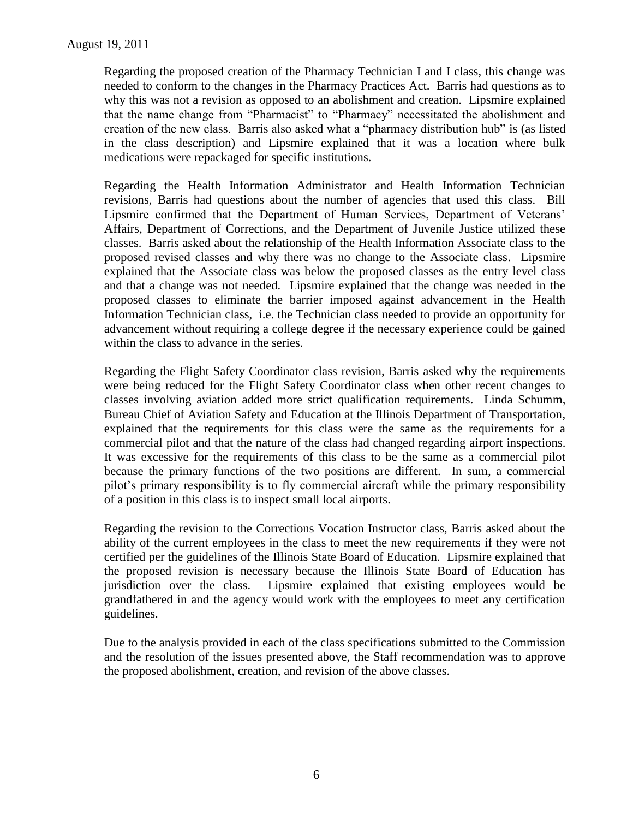Regarding the proposed creation of the Pharmacy Technician I and I class, this change was needed to conform to the changes in the Pharmacy Practices Act. Barris had questions as to why this was not a revision as opposed to an abolishment and creation. Lipsmire explained that the name change from "Pharmacist" to "Pharmacy" necessitated the abolishment and creation of the new class. Barris also asked what a "pharmacy distribution hub" is (as listed in the class description) and Lipsmire explained that it was a location where bulk medications were repackaged for specific institutions.

Regarding the Health Information Administrator and Health Information Technician revisions, Barris had questions about the number of agencies that used this class. Bill Lipsmire confirmed that the Department of Human Services, Department of Veterans' Affairs, Department of Corrections, and the Department of Juvenile Justice utilized these classes. Barris asked about the relationship of the Health Information Associate class to the proposed revised classes and why there was no change to the Associate class. Lipsmire explained that the Associate class was below the proposed classes as the entry level class and that a change was not needed. Lipsmire explained that the change was needed in the proposed classes to eliminate the barrier imposed against advancement in the Health Information Technician class, i.e. the Technician class needed to provide an opportunity for advancement without requiring a college degree if the necessary experience could be gained within the class to advance in the series.

Regarding the Flight Safety Coordinator class revision, Barris asked why the requirements were being reduced for the Flight Safety Coordinator class when other recent changes to classes involving aviation added more strict qualification requirements. Linda Schumm, Bureau Chief of Aviation Safety and Education at the Illinois Department of Transportation, explained that the requirements for this class were the same as the requirements for a commercial pilot and that the nature of the class had changed regarding airport inspections. It was excessive for the requirements of this class to be the same as a commercial pilot because the primary functions of the two positions are different. In sum, a commercial pilot's primary responsibility is to fly commercial aircraft while the primary responsibility of a position in this class is to inspect small local airports.

Regarding the revision to the Corrections Vocation Instructor class, Barris asked about the ability of the current employees in the class to meet the new requirements if they were not certified per the guidelines of the Illinois State Board of Education. Lipsmire explained that the proposed revision is necessary because the Illinois State Board of Education has jurisdiction over the class. Lipsmire explained that existing employees would be grandfathered in and the agency would work with the employees to meet any certification guidelines.

Due to the analysis provided in each of the class specifications submitted to the Commission and the resolution of the issues presented above, the Staff recommendation was to approve the proposed abolishment, creation, and revision of the above classes.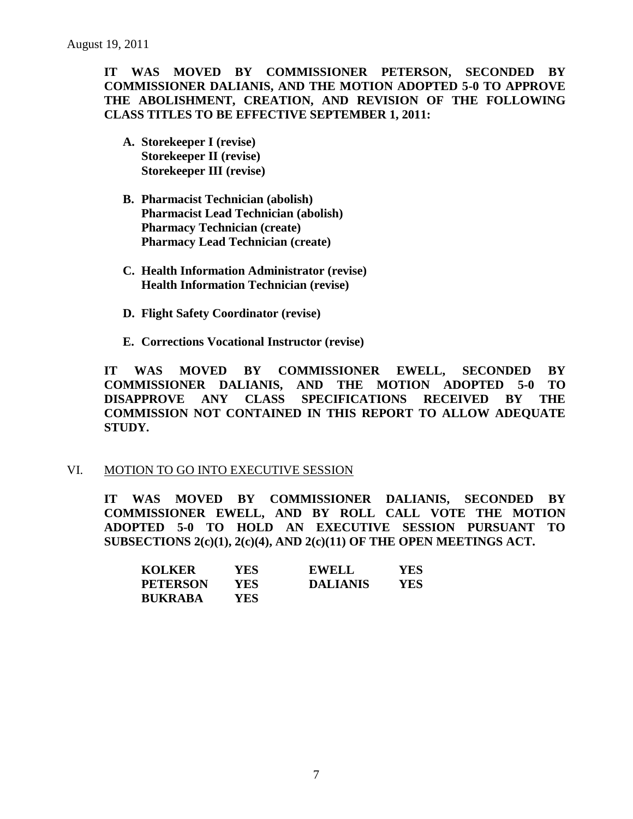# **IT WAS MOVED BY COMMISSIONER PETERSON, SECONDED BY COMMISSIONER DALIANIS, AND THE MOTION ADOPTED 5-0 TO APPROVE THE ABOLISHMENT, CREATION, AND REVISION OF THE FOLLOWING CLASS TITLES TO BE EFFECTIVE SEPTEMBER 1, 2011:**

- **A. Storekeeper I (revise) Storekeeper II (revise) Storekeeper III (revise)**
- **B. Pharmacist Technician (abolish) Pharmacist Lead Technician (abolish) Pharmacy Technician (create) Pharmacy Lead Technician (create)**
- **C. Health Information Administrator (revise) Health Information Technician (revise)**
- **D. Flight Safety Coordinator (revise)**
- **E. Corrections Vocational Instructor (revise)**

**IT WAS MOVED BY COMMISSIONER EWELL, SECONDED BY COMMISSIONER DALIANIS, AND THE MOTION ADOPTED 5-0 TO DISAPPROVE ANY CLASS SPECIFICATIONS RECEIVED BY THE COMMISSION NOT CONTAINED IN THIS REPORT TO ALLOW ADEQUATE STUDY.** 

### VI. MOTION TO GO INTO EXECUTIVE SESSION

**IT WAS MOVED BY COMMISSIONER DALIANIS, SECONDED BY COMMISSIONER EWELL, AND BY ROLL CALL VOTE THE MOTION ADOPTED 5-0 TO HOLD AN EXECUTIVE SESSION PURSUANT TO SUBSECTIONS 2(c)(1), 2(c)(4), AND 2(c)(11) OF THE OPEN MEETINGS ACT.** 

| <b>KOLKER</b>   | YES. | <b>EWELL</b>    | YES. |
|-----------------|------|-----------------|------|
| <b>PETERSON</b> | YES. | <b>DALIANIS</b> | YES  |
| <b>BUKRABA</b>  | YES  |                 |      |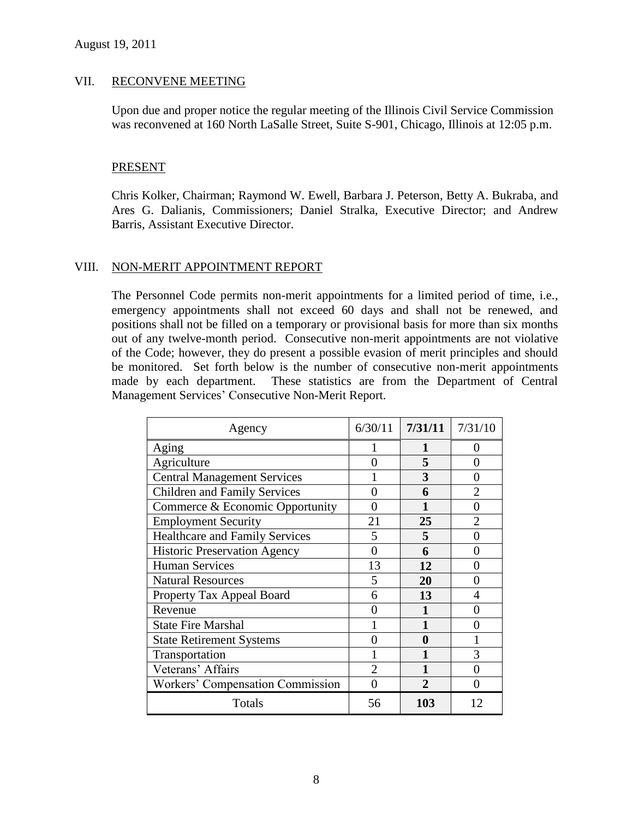#### VII. RECONVENE MEETING

Upon due and proper notice the regular meeting of the Illinois Civil Service Commission was reconvened at 160 North LaSalle Street, Suite S-901, Chicago, Illinois at 12:05 p.m.

#### PRESENT

Chris Kolker, Chairman; Raymond W. Ewell, Barbara J. Peterson, Betty A. Bukraba, and Ares G. Dalianis, Commissioners; Daniel Stralka, Executive Director; and Andrew Barris, Assistant Executive Director.

### VIII. NON-MERIT APPOINTMENT REPORT

The Personnel Code permits non-merit appointments for a limited period of time, i.e., emergency appointments shall not exceed 60 days and shall not be renewed, and positions shall not be filled on a temporary or provisional basis for more than six months out of any twelve-month period. Consecutive non-merit appointments are not violative of the Code; however, they do present a possible evasion of merit principles and should be monitored. Set forth below is the number of consecutive non-merit appointments made by each department. These statistics are from the Department of Central Management Services' Consecutive Non-Merit Report.

| Agency                                  | 6/30/11        | 7/31/11      | 7/31/10                     |
|-----------------------------------------|----------------|--------------|-----------------------------|
| Aging                                   |                |              | 0                           |
| Agriculture                             | 0              | 5            | 0                           |
| <b>Central Management Services</b>      |                | 3            | 0                           |
| <b>Children and Family Services</b>     | ∩              | 6            | $\overline{2}$              |
| Commerce & Economic Opportunity         | ∩              |              | 0                           |
| <b>Employment Security</b>              | 21             | 25           | $\mathcal{D}_{\mathcal{L}}$ |
| <b>Healthcare and Family Services</b>   | 5              | 5            | 0                           |
| <b>Historic Preservation Agency</b>     | 0              | 6            | 0                           |
| <b>Human Services</b>                   | 13             | 12           | 0                           |
| <b>Natural Resources</b>                | 5              | 20           | 0                           |
| Property Tax Appeal Board               | 6              | 13           | 4                           |
| Revenue                                 |                |              | 0                           |
| <b>State Fire Marshal</b>               |                |              | 0                           |
| <b>State Retirement Systems</b>         | 0              | $\bf{0}$     |                             |
| Transportation                          |                |              | 3                           |
| Veterans' Affairs                       | $\overline{c}$ |              | 0                           |
| <b>Workers' Compensation Commission</b> | 0              | $\mathbf{2}$ | 0                           |
| Totals                                  | 56             | 103          | 12                          |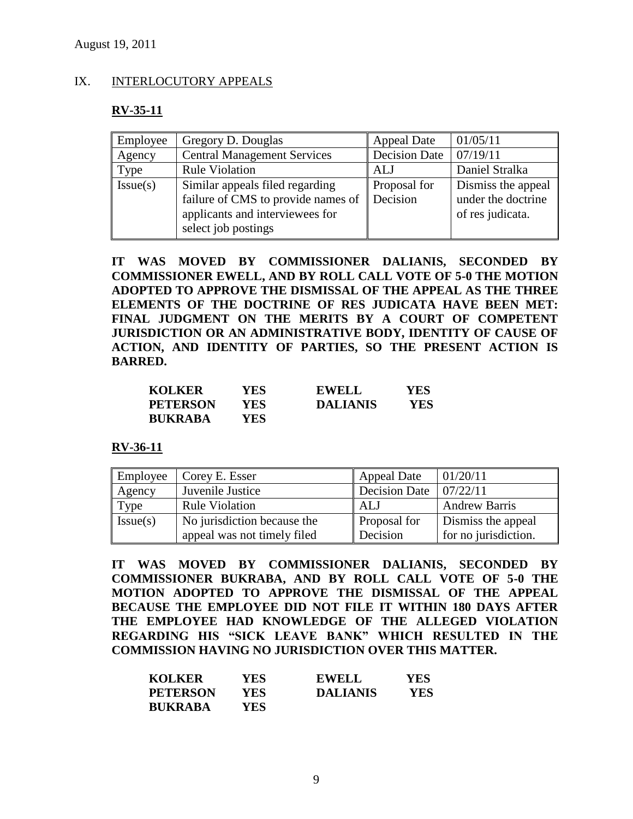#### IX. INTERLOCUTORY APPEALS

#### **RV-35-11**

| Employee | Gregory D. Douglas                                  | <b>Appeal Date</b> | 01/05/11           |
|----------|-----------------------------------------------------|--------------------|--------------------|
| Agency   | Decision Date<br><b>Central Management Services</b> |                    | 07/19/11           |
| Type     | <b>Rule Violation</b>                               | ALJ                | Daniel Stralka     |
| Issue(s) | Similar appeals filed regarding                     | Proposal for       | Dismiss the appeal |
|          | failure of CMS to provide names of                  | Decision           | under the doctrine |
|          | applicants and interviewees for                     |                    | of res judicata.   |
|          | select job postings                                 |                    |                    |

**IT WAS MOVED BY COMMISSIONER DALIANIS, SECONDED BY COMMISSIONER EWELL, AND BY ROLL CALL VOTE OF 5-0 THE MOTION ADOPTED TO APPROVE THE DISMISSAL OF THE APPEAL AS THE THREE ELEMENTS OF THE DOCTRINE OF RES JUDICATA HAVE BEEN MET: FINAL JUDGMENT ON THE MERITS BY A COURT OF COMPETENT JURISDICTION OR AN ADMINISTRATIVE BODY, IDENTITY OF CAUSE OF ACTION, AND IDENTITY OF PARTIES, SO THE PRESENT ACTION IS BARRED.**

| <b>KOLKER</b>   | YES | <b>EWELL</b>    | <b>YES</b> |
|-----------------|-----|-----------------|------------|
| <b>PETERSON</b> | YES | <b>DALIANIS</b> | YES        |
| <b>BUKRABA</b>  | YES |                 |            |

**RV-36-11**

| Employee | Corey E. Esser              | <b>Appeal Date</b>   | 01/20/11             |
|----------|-----------------------------|----------------------|----------------------|
| Agency   | Juvenile Justice            | <b>Decision Date</b> | 07/22/11             |
| Type     | <b>Rule Violation</b>       | ALJ                  | <b>Andrew Barris</b> |
| Issue(s) | No jurisdiction because the | Proposal for         | Dismiss the appeal   |
|          | appeal was not timely filed | Decision             | for no jurisdiction. |

**IT WAS MOVED BY COMMISSIONER DALIANIS, SECONDED BY COMMISSIONER BUKRABA, AND BY ROLL CALL VOTE OF 5-0 THE MOTION ADOPTED TO APPROVE THE DISMISSAL OF THE APPEAL BECAUSE THE EMPLOYEE DID NOT FILE IT WITHIN 180 DAYS AFTER THE EMPLOYEE HAD KNOWLEDGE OF THE ALLEGED VIOLATION REGARDING HIS "SICK LEAVE BANK" WHICH RESULTED IN THE COMMISSION HAVING NO JURISDICTION OVER THIS MATTER.**

| <b>KOLKER</b>   | YES  | <b>EWELL</b>    | <b>YES</b> |
|-----------------|------|-----------------|------------|
| <b>PETERSON</b> | YES. | <b>DALIANIS</b> | YES        |
| <b>BUKRABA</b>  | YES. |                 |            |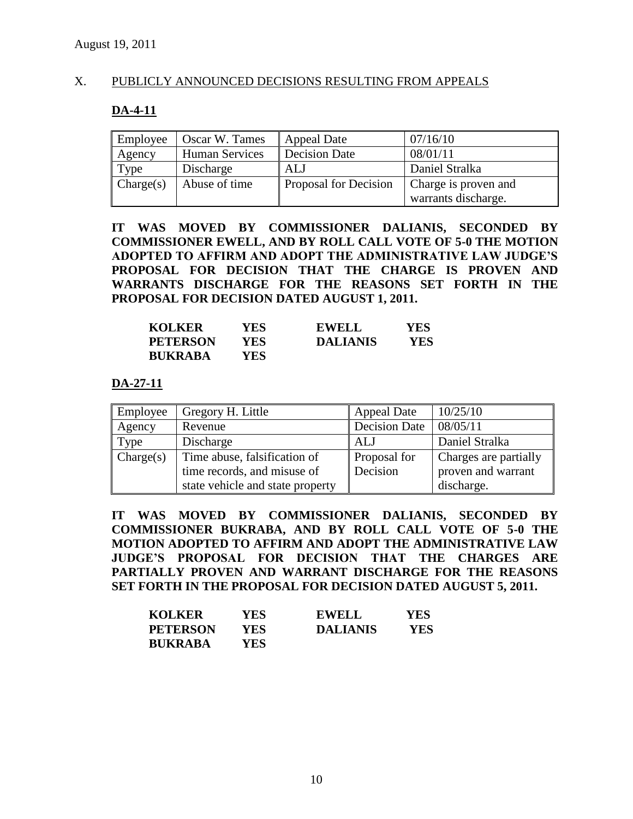## X. PUBLICLY ANNOUNCED DECISIONS RESULTING FROM APPEALS

# **DA-4-11**

| Employee  | Oscar W. Tames        | <b>Appeal Date</b>    | 07/16/10             |
|-----------|-----------------------|-----------------------|----------------------|
| Agency    | <b>Human Services</b> | <b>Decision Date</b>  | 08/01/11             |
| Type      | Discharge             | ALJ                   | Daniel Stralka       |
| Change(s) | Abuse of time         | Proposal for Decision | Charge is proven and |
|           |                       |                       | warrants discharge.  |

**IT WAS MOVED BY COMMISSIONER DALIANIS, SECONDED BY COMMISSIONER EWELL, AND BY ROLL CALL VOTE OF 5-0 THE MOTION ADOPTED TO AFFIRM AND ADOPT THE ADMINISTRATIVE LAW JUDGE'S PROPOSAL FOR DECISION THAT THE CHARGE IS PROVEN AND WARRANTS DISCHARGE FOR THE REASONS SET FORTH IN THE PROPOSAL FOR DECISION DATED AUGUST 1, 2011.**

| <b>KOLKER</b>   | YES ! | <b>EWELL</b>    | YES |
|-----------------|-------|-----------------|-----|
| <b>PETERSON</b> | YES   | <b>DALIANIS</b> | YES |
| <b>BUKRABA</b>  | YES-  |                 |     |

## **DA-27-11**

| Employee  | Gregory H. Little                | <b>Appeal Date</b>   | 10/25/10              |
|-----------|----------------------------------|----------------------|-----------------------|
| Agency    | Revenue                          | <b>Decision Date</b> | 08/05/11              |
| Type      | Discharge                        | ALJ                  | Daniel Stralka        |
| Change(s) | Time abuse, falsification of     | <b>Proposal for</b>  | Charges are partially |
|           | time records, and misuse of      | Decision             | proven and warrant    |
|           | state vehicle and state property |                      | discharge.            |

**IT WAS MOVED BY COMMISSIONER DALIANIS, SECONDED BY COMMISSIONER BUKRABA, AND BY ROLL CALL VOTE OF 5-0 THE MOTION ADOPTED TO AFFIRM AND ADOPT THE ADMINISTRATIVE LAW JUDGE'S PROPOSAL FOR DECISION THAT THE CHARGES ARE PARTIALLY PROVEN AND WARRANT DISCHARGE FOR THE REASONS SET FORTH IN THE PROPOSAL FOR DECISION DATED AUGUST 5, 2011.**

| <b>KOLKER</b>   | YES  | <b>EWELL</b>    | <b>YES</b> |
|-----------------|------|-----------------|------------|
| <b>PETERSON</b> | YES. | <b>DALIANIS</b> | YES        |
| <b>BUKRABA</b>  | YES. |                 |            |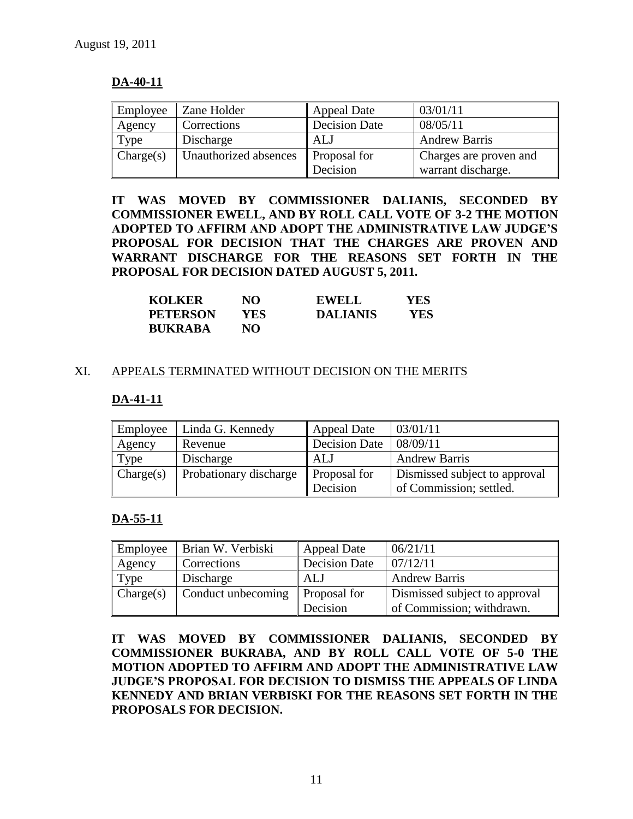# **DA-40-11**

| Employee  | Zane Holder           | <b>Appeal Date</b>   | 03/01/11               |
|-----------|-----------------------|----------------------|------------------------|
| Agency    | Corrections           | <b>Decision Date</b> | 08/05/11               |
| Type      | Discharge             | ALJ                  | <b>Andrew Barris</b>   |
| Change(s) | Unauthorized absences | Proposal for         | Charges are proven and |
|           |                       | Decision             | warrant discharge.     |

**IT WAS MOVED BY COMMISSIONER DALIANIS, SECONDED BY COMMISSIONER EWELL, AND BY ROLL CALL VOTE OF 3-2 THE MOTION ADOPTED TO AFFIRM AND ADOPT THE ADMINISTRATIVE LAW JUDGE'S PROPOSAL FOR DECISION THAT THE CHARGES ARE PROVEN AND WARRANT DISCHARGE FOR THE REASONS SET FORTH IN THE PROPOSAL FOR DECISION DATED AUGUST 5, 2011.**

| <b>KOLKER</b>   | NO. | <b>EWELL</b>    | YES |
|-----------------|-----|-----------------|-----|
| <b>PETERSON</b> | YES | <b>DALIANIS</b> | YES |
| <b>BUKRABA</b>  | NO. |                 |     |

## XI. APPEALS TERMINATED WITHOUT DECISION ON THE MERITS

## **DA-41-11**

| Employee  | Linda G. Kennedy       | Appeal Date   | 03/01/11                      |
|-----------|------------------------|---------------|-------------------------------|
| Agency    | Revenue                | Decision Date | 08/09/11                      |
| Type      | Discharge              | ALJ           | <b>Andrew Barris</b>          |
| Change(s) | Probationary discharge | Proposal for  | Dismissed subject to approval |
|           |                        | Decision      | of Commission; settled.       |

# **DA-55-11**

| Employee  | Brian W. Verbiski  | <b>Appeal Date</b>       | 06/21/11                                                   |
|-----------|--------------------|--------------------------|------------------------------------------------------------|
| Agency    | Corrections        | <b>Decision Date</b>     | 07/12/11                                                   |
| Type      | Discharge          | ALJ                      | <b>Andrew Barris</b>                                       |
| Change(s) | Conduct unbecoming | Proposal for<br>Decision | Dismissed subject to approval<br>of Commission; withdrawn. |

**IT WAS MOVED BY COMMISSIONER DALIANIS, SECONDED BY COMMISSIONER BUKRABA, AND BY ROLL CALL VOTE OF 5-0 THE MOTION ADOPTED TO AFFIRM AND ADOPT THE ADMINISTRATIVE LAW JUDGE'S PROPOSAL FOR DECISION TO DISMISS THE APPEALS OF LINDA KENNEDY AND BRIAN VERBISKI FOR THE REASONS SET FORTH IN THE PROPOSALS FOR DECISION.**